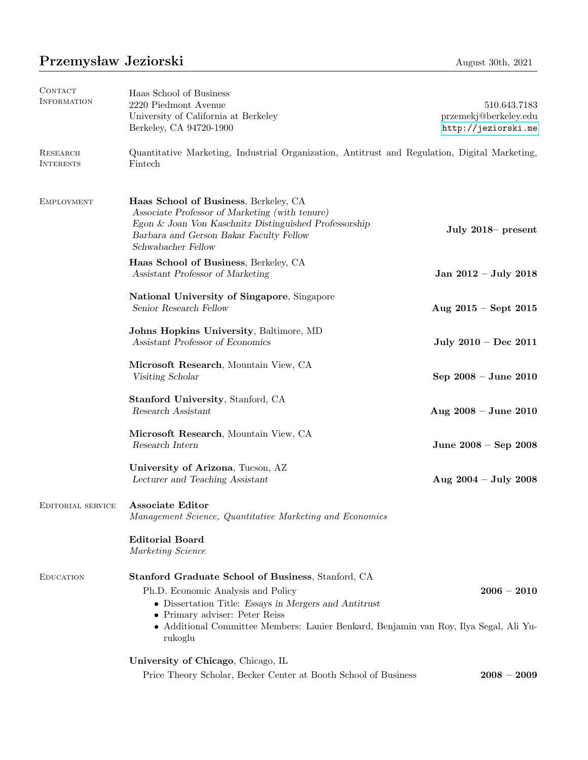## Przemysław Jeziorski August 30th, 2021

| CONTACT<br>INFORMATION       | Haas School of Business<br>2220 Piedmont Avenue                                                                                                                                                                                                                                         | 510.643.7183                                 |
|------------------------------|-----------------------------------------------------------------------------------------------------------------------------------------------------------------------------------------------------------------------------------------------------------------------------------------|----------------------------------------------|
|                              | University of California at Berkeley<br>Berkeley, CA 94720-1900                                                                                                                                                                                                                         | przemekj@berkeley.edu<br>http://jeziorski.me |
| RESEARCH<br><b>INTERESTS</b> | Quantitative Marketing, Industrial Organization, Antitrust and Regulation, Digital Marketing,<br>Fintech                                                                                                                                                                                |                                              |
| <b>EMPLOYMENT</b>            | Haas School of Business, Berkeley, CA<br>Associate Professor of Marketing (with tenure)<br>Egon & Joan Von Kaschnitz Distinguished Professorship<br>Barbara and Gerson Bakar Faculty Fellow<br>Schwabacher Fellow                                                                       | July 2018– present                           |
|                              | Haas School of Business, Berkeley, CA<br>Assistant Professor of Marketing                                                                                                                                                                                                               | Jan 2012 - July 2018                         |
|                              | National University of Singapore, Singapore<br>Senior Research Fellow                                                                                                                                                                                                                   | Aug $2015 - Sept 2015$                       |
|                              | Johns Hopkins University, Baltimore, MD<br>Assistant Professor of Economics                                                                                                                                                                                                             | July $2010 - Dec 2011$                       |
|                              | Microsoft Research, Mountain View, CA<br>Visiting Scholar                                                                                                                                                                                                                               | Sep 2008 - June 2010                         |
|                              | Stanford University, Stanford, CA<br>Research Assistant                                                                                                                                                                                                                                 | Aug $2008 -$ June $2010$                     |
|                              | Microsoft Research, Mountain View, CA<br>Research Intern                                                                                                                                                                                                                                | June $2008 -$ Sep $2008$                     |
|                              | University of Arizona, Tucson, AZ<br>Lecturer and Teaching Assistant                                                                                                                                                                                                                    | Aug $2004 - July 2008$                       |
| EDITORIAL SERVICE            | Associate Editor<br>Management Science, Quantitative Marketing and Economics                                                                                                                                                                                                            |                                              |
|                              | <b>Editorial Board</b><br>Marketing Science                                                                                                                                                                                                                                             |                                              |
| <b>EDUCATION</b>             | Stanford Graduate School of Business, Stanford, CA<br>Ph.D. Economic Analysis and Policy<br>• Dissertation Title: Essays in Mergers and Antitrust<br>• Primary adviser: Peter Reiss<br>• Additional Committee Members: Lanier Benkard, Benjamin van Roy, Ilya Segal, Ali Yu-<br>rukoglu | $2006 - 2010$                                |
|                              | University of Chicago, Chicago, IL<br>Price Theory Scholar, Becker Center at Booth School of Business                                                                                                                                                                                   | $2008 - 2009$                                |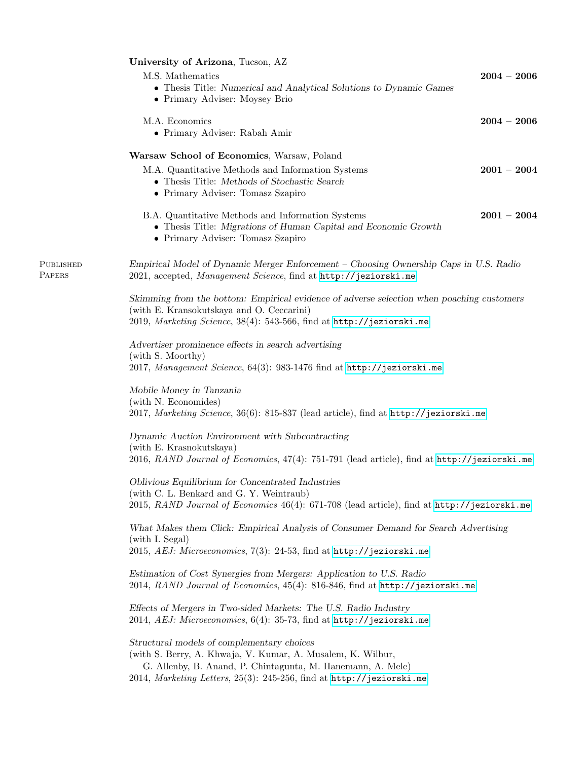|                     | University of Arizona, Tucson, AZ                                                                                                                                                                                                                |               |  |
|---------------------|--------------------------------------------------------------------------------------------------------------------------------------------------------------------------------------------------------------------------------------------------|---------------|--|
|                     | M.S. Mathematics<br>• Thesis Title: Numerical and Analytical Solutions to Dynamic Games<br>• Primary Adviser: Moysey Brio                                                                                                                        | $2004 - 2006$ |  |
|                     | M.A. Economics<br>• Primary Adviser: Rabah Amir                                                                                                                                                                                                  | $2004 - 2006$ |  |
|                     | Warsaw School of Economics, Warsaw, Poland<br>M.A. Quantitative Methods and Information Systems<br>• Thesis Title: Methods of Stochastic Search<br>• Primary Adviser: Tomasz Szapiro                                                             | $2001-2004$   |  |
|                     | B.A. Quantitative Methods and Information Systems<br>• Thesis Title: Migrations of Human Capital and Economic Growth<br>• Primary Adviser: Tomasz Szapiro                                                                                        | $2001 - 2004$ |  |
| PUBLISHED<br>PAPERS | Empirical Model of Dynamic Merger Enforcement – Choosing Ownership Caps in U.S. Radio<br>2021, accepted, Management Science, find at http://jeziorski.me                                                                                         |               |  |
|                     | Skimming from the bottom: Empirical evidence of adverse selection when poaching customers<br>(with E. Kransokutskaya and O. Ceccarini)<br>2019, Marketing Science, 38(4): 543-566, find at http://jeziorski.me                                   |               |  |
|                     | Advertiser prominence effects in search advertising<br>(with S. Moorthy)<br>2017, Management Science, 64(3): 983-1476 find at http://jeziorski.me                                                                                                |               |  |
|                     | Mobile Money in Tanzania<br>(with N. Economides)<br>2017, Marketing Science, 36(6): 815-837 (lead article), find at http://jeziorski.me                                                                                                          |               |  |
|                     | Dynamic Auction Environment with Subcontracting<br>(with E. Krasnokutskaya)<br>2016, RAND Journal of Economics, 47(4): 751-791 (lead article), find at http://jeziorski.me                                                                       |               |  |
|                     | Oblivious Equilibrium for Concentrated Industries<br>(with C. L. Benkard and G. Y. Weintraub)<br>2015, RAND Journal of Economics 46(4): 671-708 (lead article), find at http://jeziorski.me                                                      |               |  |
|                     | What Makes them Click: Empirical Analysis of Consumer Demand for Search Advertising<br>(with I. Segal)<br>2015, AEJ: Microeconomics, $7(3)$ : 24-53, find at http://jeziorski.me                                                                 |               |  |
|                     | Estimation of Cost Synergies from Mergers: Application to U.S. Radio<br>2014, RAND Journal of Economics, 45(4): 816-846, find at $http://jeziorski-me$                                                                                           |               |  |
|                     | Effects of Mergers in Two-sided Markets: The U.S. Radio Industry<br>2014, AEJ: Microeconomics, $6(4)$ : 35-73, find at http://jeziorski.me                                                                                                       |               |  |
|                     | Structural models of complementary choices<br>(with S. Berry, A. Khwaja, V. Kumar, A. Musalem, K. Wilbur,<br>G. Allenby, B. Anand, P. Chintagunta, M. Hanemann, A. Mele)<br>2014, Marketing Letters, 25(3): 245-256, find at http://jeziorski.me |               |  |
|                     |                                                                                                                                                                                                                                                  |               |  |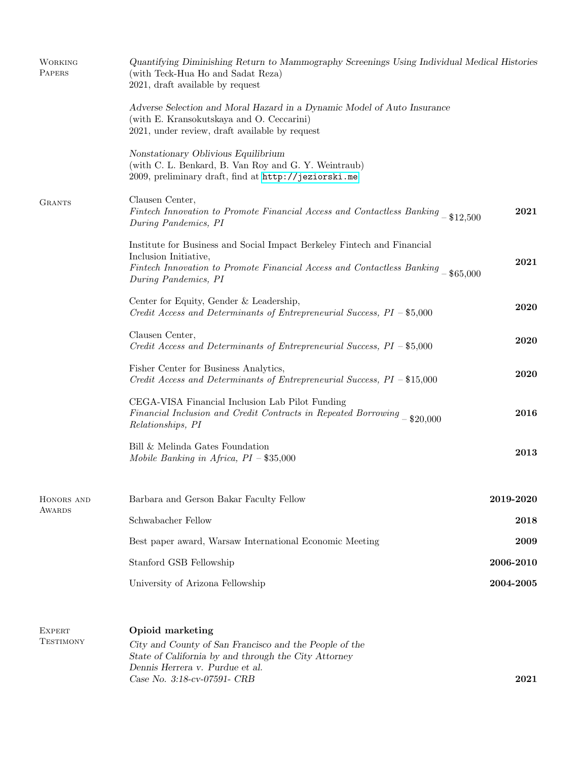| <b>WORKING</b><br>PAPERS          | Quantifying Diminishing Return to Mammography Screenings Using Individual Medical Histories<br>(with Teck-Hua Ho and Sadat Reza)<br>2021, draft available by request                                          |           |  |
|-----------------------------------|---------------------------------------------------------------------------------------------------------------------------------------------------------------------------------------------------------------|-----------|--|
|                                   | Adverse Selection and Moral Hazard in a Dynamic Model of Auto Insurance<br>(with E. Kransokutskaya and O. Ceccarini)<br>2021, under review, draft available by request                                        |           |  |
|                                   | Nonstationary Oblivious Equilibrium<br>(with C. L. Benkard, B. Van Roy and G. Y. Weintraub)<br>2009, preliminary draft, find at http://jeziorski.me                                                           |           |  |
| <b>GRANTS</b>                     | Clausen Center,<br>Fintech Innovation to Promote Financial Access and Contactless Banking - \$12,500<br>During Pandemics, PI                                                                                  | 2021      |  |
|                                   | Institute for Business and Social Impact Berkeley Fintech and Financial<br>Inclusion Initiative,<br>Fintech Innovation to Promote Financial Access and Contactless Banking - \$65,000<br>During Pandemics, PI | 2021      |  |
|                                   | Center for Equity, Gender & Leadership,<br>Credit Access and Determinants of Entrepreneurial Success, PI - \$5,000                                                                                            | 2020      |  |
|                                   | Clausen Center,<br>Credit Access and Determinants of Entrepreneurial Success, $PI - $5,000$                                                                                                                   | 2020      |  |
|                                   | Fisher Center for Business Analytics,<br>Credit Access and Determinants of Entrepreneurial Success, $PI - $15,000$                                                                                            | 2020      |  |
|                                   | CEGA-VISA Financial Inclusion Lab Pilot Funding<br>Financial Inclusion and Credit Contracts in Repeated Borrowing - \$20,000<br>Relationships, PI                                                             | 2016      |  |
|                                   | Bill & Melinda Gates Foundation<br>Mobile Banking in Africa, $PI - $35,000$                                                                                                                                   | 2013      |  |
| HONORS AND<br><b>AWARDS</b>       | Barbara and Gerson Bakar Faculty Fellow                                                                                                                                                                       | 2019-2020 |  |
|                                   | Schwabacher Fellow                                                                                                                                                                                            | 2018      |  |
|                                   | Best paper award, Warsaw International Economic Meeting                                                                                                                                                       | 2009      |  |
|                                   | Stanford GSB Fellowship                                                                                                                                                                                       | 2006-2010 |  |
|                                   | University of Arizona Fellowship                                                                                                                                                                              | 2004-2005 |  |
| <b>EXPERT</b><br><b>TESTIMONY</b> | Opioid marketing                                                                                                                                                                                              |           |  |
|                                   | City and County of San Francisco and the People of the<br>State of California by and through the City Attorney                                                                                                |           |  |
|                                   | Dennis Herrera v. Purdue et al.<br>Case No. 3:18-cv-07591- CRB                                                                                                                                                | 2021      |  |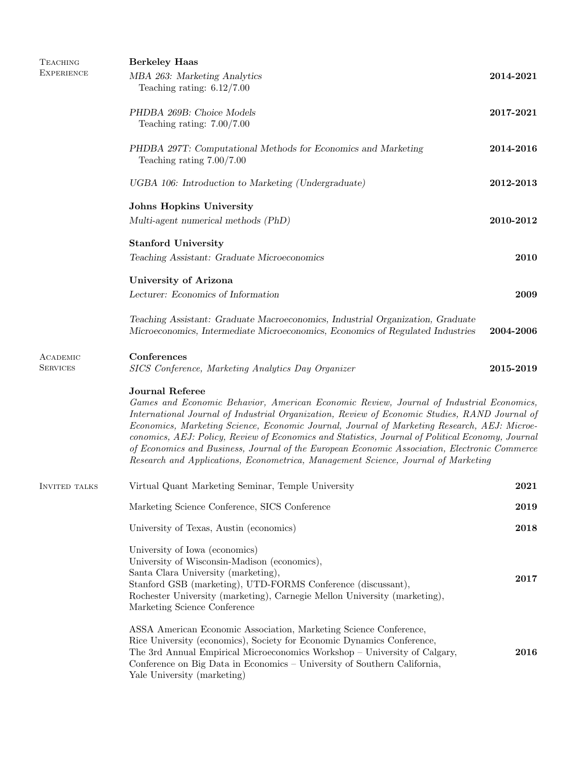| <b>TEACHING</b><br><b>EXPERIENCE</b> | <b>Berkeley Haas</b><br>MBA 263: Marketing Analytics<br>Teaching rating: $6.12/7.00$                                                                                                                                                                                                                                                                                                                                                                                                                                                                                                                       | 2014-2021 |
|--------------------------------------|------------------------------------------------------------------------------------------------------------------------------------------------------------------------------------------------------------------------------------------------------------------------------------------------------------------------------------------------------------------------------------------------------------------------------------------------------------------------------------------------------------------------------------------------------------------------------------------------------------|-----------|
|                                      | PHDBA 269B: Choice Models<br>Teaching rating: $7.00/7.00$                                                                                                                                                                                                                                                                                                                                                                                                                                                                                                                                                  | 2017-2021 |
|                                      | PHDBA 297T: Computational Methods for Economics and Marketing<br>Teaching rating $7.00/7.00$                                                                                                                                                                                                                                                                                                                                                                                                                                                                                                               | 2014-2016 |
|                                      | UGBA 106: Introduction to Marketing (Undergraduate)                                                                                                                                                                                                                                                                                                                                                                                                                                                                                                                                                        | 2012-2013 |
|                                      | Johns Hopkins University<br>Multi-agent numerical methods (PhD)                                                                                                                                                                                                                                                                                                                                                                                                                                                                                                                                            | 2010-2012 |
|                                      | <b>Stanford University</b><br>Teaching Assistant: Graduate Microeconomics                                                                                                                                                                                                                                                                                                                                                                                                                                                                                                                                  | 2010      |
|                                      | <b>University of Arizona</b><br>Lecturer: Economics of Information                                                                                                                                                                                                                                                                                                                                                                                                                                                                                                                                         | 2009      |
|                                      | Teaching Assistant: Graduate Macroeconomics, Industrial Organization, Graduate<br>Microeconomics, Intermediate Microeconomics, Economics of Regulated Industries                                                                                                                                                                                                                                                                                                                                                                                                                                           | 2004-2006 |
| ACADEMIC<br><b>SERVICES</b>          | Conferences<br>SICS Conference, Marketing Analytics Day Organizer                                                                                                                                                                                                                                                                                                                                                                                                                                                                                                                                          | 2015-2019 |
|                                      | <b>Journal Referee</b><br>Games and Economic Behavior, American Economic Review, Journal of Industrial Economics,<br>International Journal of Industrial Organization, Review of Economic Studies, RAND Journal of<br>Economics, Marketing Science, Economic Journal, Journal of Marketing Research, AEJ: Microe-<br>conomics, AEJ: Policy, Review of Economics and Statistics, Journal of Political Economy, Journal<br>of Economics and Business, Journal of the European Economic Association, Electronic Commerce<br>Research and Applications, Econometrica, Management Science, Journal of Marketing |           |
| <b>INVITED TALKS</b>                 | Virtual Quant Marketing Seminar, Temple University                                                                                                                                                                                                                                                                                                                                                                                                                                                                                                                                                         | 2021      |
|                                      | Marketing Science Conference, SICS Conference                                                                                                                                                                                                                                                                                                                                                                                                                                                                                                                                                              | 2019      |
|                                      | University of Texas, Austin (economics)                                                                                                                                                                                                                                                                                                                                                                                                                                                                                                                                                                    | 2018      |
|                                      | University of Iowa (economics)<br>University of Wisconsin-Madison (economics),<br>Santa Clara University (marketing),<br>Stanford GSB (marketing), UTD-FORMS Conference (discussant),<br>Rochester University (marketing), Carnegie Mellon University (marketing),<br>Marketing Science Conference                                                                                                                                                                                                                                                                                                         | 2017      |
|                                      | ASSA American Economic Association, Marketing Science Conference,<br>Rice University (economics), Society for Economic Dynamics Conference,<br>The 3rd Annual Empirical Microeconomics Workshop - University of Calgary,<br>Conference on Big Data in Economics - University of Southern California,<br>Yale University (marketing)                                                                                                                                                                                                                                                                        | 2016      |